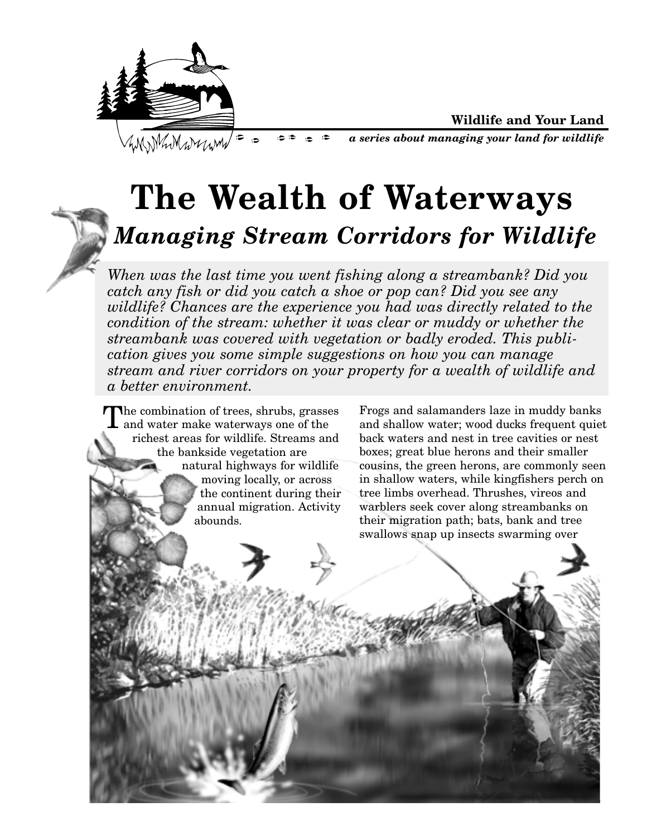



*a series about managing your land for wildlife*

# **The Wealth of Waterways** *Managing Stream Corridors for Wildlife*

 $\bullet$  $\Rightarrow$ 

*When was the last time you went fishing along a streambank? Did you catch any fish or did you catch a shoe or pop can? Did you see any wildlife? Chances are the experience you had was directly related to the condition of the stream: whether it was clear or muddy or whether the streambank was covered with vegetation or badly eroded. This publication gives you some simple suggestions on how you can manage stream and river corridors on your property for a wealth of wildlife and a better environment.*

The combination of trees, shrubs, grasses and water make waterways one of the richest areas for wildlife. Streams and the bankside vegetation are natural highways for wildlife moving locally, or across the continent during their annual migration. Activity abounds.

Frogs and salamanders laze in muddy banks and shallow water; wood ducks frequent quiet back waters and nest in tree cavities or nest boxes; great blue herons and their smaller cousins, the green herons, are commonly seen in shallow waters, while kingfishers perch on tree limbs overhead. Thrushes, vireos and warblers seek cover along streambanks on their migration path; bats, bank and tree swallows snap up insects swarming over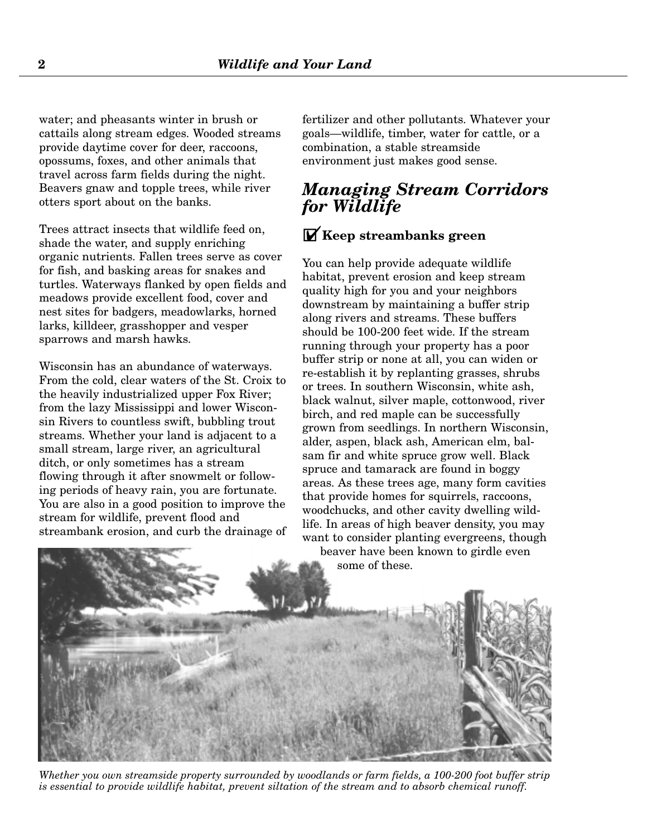water; and pheasants winter in brush or cattails along stream edges. Wooded streams provide daytime cover for deer, raccoons, opossums, foxes, and other animals that travel across farm fields during the night. Beavers gnaw and topple trees, while river otters sport about on the banks.

Trees attract insects that wildlife feed on, shade the water, and supply enriching organic nutrients. Fallen trees serve as cover for fish, and basking areas for snakes and turtles. Waterways flanked by open fields and meadows provide excellent food, cover and nest sites for badgers, meadowlarks, horned larks, killdeer, grasshopper and vesper sparrows and marsh hawks.

Wisconsin has an abundance of waterways. From the cold, clear waters of the St. Croix to the heavily industrialized upper Fox River; from the lazy Mississippi and lower Wisconsin Rivers to countless swift, bubbling trout streams. Whether your land is adjacent to a small stream, large river, an agricultural ditch, or only sometimes has a stream flowing through it after snowmelt or following periods of heavy rain, you are fortunate. You are also in a good position to improve the stream for wildlife, prevent flood and streambank erosion, and curb the drainage of fertilizer and other pollutants. Whatever your goals—wildlife, timber, water for cattle, or a combination, a stable streamside environment just makes good sense.

## *Managing Stream Corridors for Wildlife*

## GY**Keep streambanks green**

You can help provide adequate wildlife habitat, prevent erosion and keep stream quality high for you and your neighbors downstream by maintaining a buffer strip along rivers and streams. These buffers should be 100-200 feet wide. If the stream running through your property has a poor buffer strip or none at all, you can widen or re-establish it by replanting grasses, shrubs or trees. In southern Wisconsin, white ash, black walnut, silver maple, cottonwood, river birch, and red maple can be successfully grown from seedlings. In northern Wisconsin, alder, aspen, black ash, American elm, balsam fir and white spruce grow well. Black spruce and tamarack are found in boggy areas. As these trees age, many form cavities that provide homes for squirrels, raccoons, woodchucks, and other cavity dwelling wildlife. In areas of high beaver density, you may want to consider planting evergreens, though

beaver have been known to girdle even some of these.



*Whether you own streamside property surrounded by woodlands or farm fields, a 100-200 foot buffer strip is essential to provide wildlife habitat, prevent siltation of the stream and to absorb chemical runoff.*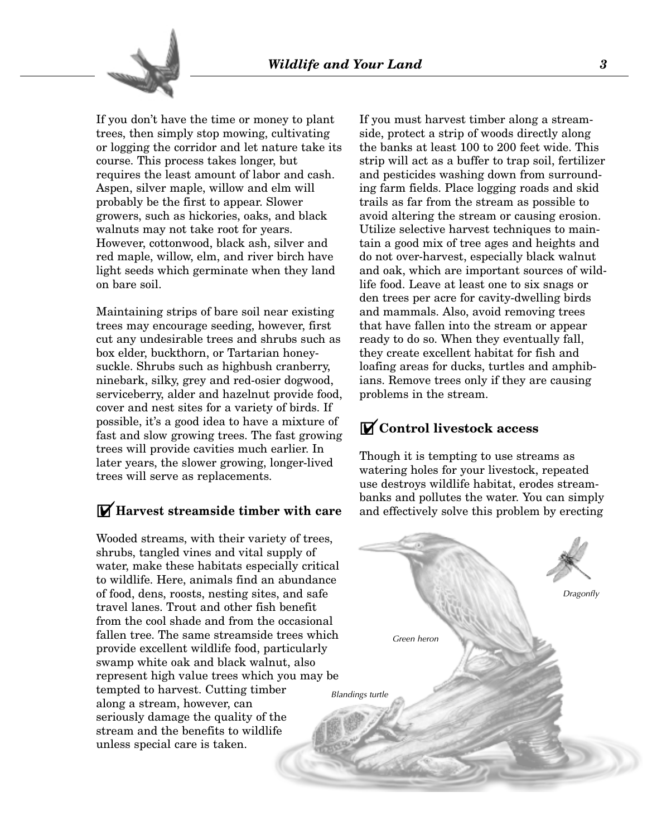

If you don't have the time or money to plant trees, then simply stop mowing, cultivating or logging the corridor and let nature take its course. This process takes longer, but requires the least amount of labor and cash. Aspen, silver maple, willow and elm will probably be the first to appear. Slower growers, such as hickories, oaks, and black walnuts may not take root for years. However, cottonwood, black ash, silver and red maple, willow, elm, and river birch have light seeds which germinate when they land on bare soil.

Maintaining strips of bare soil near existing trees may encourage seeding, however, first cut any undesirable trees and shrubs such as box elder, buckthorn, or Tartarian honeysuckle. Shrubs such as highbush cranberry, ninebark, silky, grey and red-osier dogwood, serviceberry, alder and hazelnut provide food, cover and nest sites for a variety of birds. If possible, it's a good idea to have a mixture of fast and slow growing trees. The fast growing trees will provide cavities much earlier. In later years, the slower growing, longer-lived trees will serve as replacements.

### GY**Harvest streamside timber with care**

Wooded streams, with their variety of trees, shrubs, tangled vines and vital supply of water, make these habitats especially critical to wildlife. Here, animals find an abundance of food, dens, roosts, nesting sites, and safe travel lanes. Trout and other fish benefit from the cool shade and from the occasional fallen tree. The same streamside trees which provide excellent wildlife food, particularly swamp white oak and black walnut, also represent high value trees which you may be tempted to harvest. Cutting timber along a stream, however, can seriously damage the quality of the stream and the benefits to wildlife unless special care is taken.

If you must harvest timber along a streamside, protect a strip of woods directly along the banks at least 100 to 200 feet wide. This strip will act as a buffer to trap soil, fertilizer and pesticides washing down from surrounding farm fields. Place logging roads and skid trails as far from the stream as possible to avoid altering the stream or causing erosion. Utilize selective harvest techniques to maintain a good mix of tree ages and heights and do not over-harvest, especially black walnut and oak, which are important sources of wildlife food. Leave at least one to six snags or den trees per acre for cavity-dwelling birds and mammals. Also, avoid removing trees that have fallen into the stream or appear ready to do so. When they eventually fall, they create excellent habitat for fish and loafing areas for ducks, turtles and amphibians. Remove trees only if they are causing problems in the stream.

### GY**Control livestock access**

Though it is tempting to use streams as watering holes for your livestock, repeated use destroys wildlife habitat, erodes streambanks and pollutes the water. You can simply and effectively solve this problem by erecting